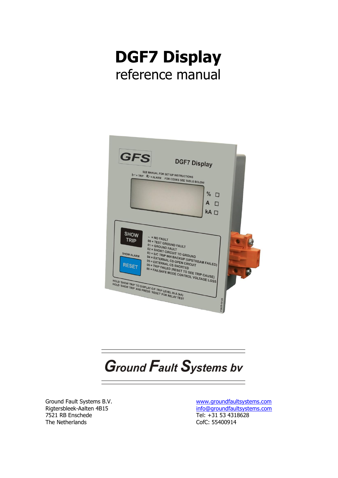



**Ground Fault Systems bv** 

Ground Fault Systems B.V. Rigtersbleek-Aalten 4B15 7521 RB Enschede The Netherlands

[www.groundfaultsystems.com](http://www.groundfaultsystems.com/) [info@groundfaultsystems.com](mailto:info@groundfaultsystems.com) Tel: +31 53 4318628 CofC: 55400914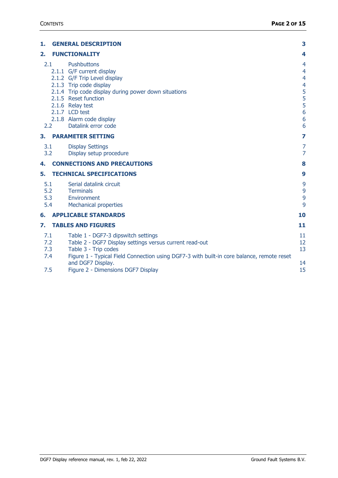| 1.                              | <b>GENERAL DESCRIPTION</b>                                                                                                                                                                                                                                                          | 3                                                                                                                    |
|---------------------------------|-------------------------------------------------------------------------------------------------------------------------------------------------------------------------------------------------------------------------------------------------------------------------------------|----------------------------------------------------------------------------------------------------------------------|
| 2.                              | <b>FUNCTIONALITY</b>                                                                                                                                                                                                                                                                | 4                                                                                                                    |
| 2.1<br>2.2                      | <b>Pushbuttons</b><br>2.1.1 G/F current display<br>2.1.2 G/F Trip Level display<br>2.1.3 Trip code display<br>2.1.4 Trip code display during power down situations<br>2.1.5 Reset function<br>2.1.6 Relay test<br>2.1.7 LCD test<br>2.1.8 Alarm code display<br>Datalink error code | $\overline{4}$<br>$\overline{4}$<br>$\overline{4}$<br>$\overline{4}$<br>5<br>5<br>5<br>5<br>$\overline{6}$<br>6<br>6 |
| З.                              | <b>PARAMETER SETTING</b>                                                                                                                                                                                                                                                            | 7                                                                                                                    |
| 3.1<br>3.2                      | <b>Display Settings</b><br>Display setup procedure                                                                                                                                                                                                                                  | 7<br>7                                                                                                               |
| 4.                              | <b>CONNECTIONS AND PRECAUTIONS</b>                                                                                                                                                                                                                                                  | 8                                                                                                                    |
| 5.                              | <b>TECHNICAL SPECIFICATIONS</b>                                                                                                                                                                                                                                                     | 9                                                                                                                    |
| 5.1<br>5.2<br>5.3<br>5.4        | Serial datalink circuit<br>Terminals<br>Environment<br><b>Mechanical properties</b>                                                                                                                                                                                                 | 9<br>9<br>9<br>9                                                                                                     |
| 6.                              | <b>APPLICABLE STANDARDS</b>                                                                                                                                                                                                                                                         | 10                                                                                                                   |
| 7.                              | <b>TABLES AND FIGURES</b>                                                                                                                                                                                                                                                           | 11                                                                                                                   |
| 7.1<br>7.2<br>7.3<br>7.4<br>7.5 | Table 1 - DGF7-3 dipswitch settings<br>Table 2 - DGF7 Display settings versus current read-out<br>Table 3 - Trip codes<br>Figure 1 - Typical Field Connection using DGF7-3 with built-in core balance, remote reset<br>and DGF7 Display.<br>Figure 2 - Dimensions DGF7 Display      | 11<br>12<br>13<br>14<br>15                                                                                           |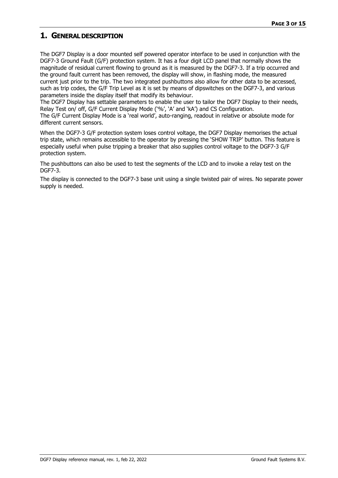## <span id="page-2-0"></span>**1. GENERALDESCRIPTION**

The DGF7 Display is a door mounted self powered operator interface to be used in conjunction with the DGF7-3 Ground Fault (G/F) protection system. It has a four digit LCD panel that normally shows the magnitude of residual current flowing to ground as it is measured by the DGF7-3. If a trip occurred and the ground fault current has been removed, the display will show, in flashing mode, the measured current just prior to the trip. The two integrated pushbuttons also allow for other data to be accessed, such as trip codes, the G/F Trip Level as it is set by means of dipswitches on the DGF7-3, and various parameters inside the display itself that modify its behaviour.

The DGF7 Display has settable parameters to enable the user to tailor the DGF7 Display to their needs, Relay Test on/ off, G/F Current Display Mode ('%', 'A' and 'kA') and CS Configuration.

The G/F Current Display Mode is a 'real world', auto-ranging, readout in relative or absolute mode for different current sensors.

When the DGF7-3 G/F protection system loses control voltage, the DGF7 Display memorises the actual trip state, which remains accessible to the operator by pressing the 'SHOW TRIP' button. This feature is especially useful when pulse tripping a breaker that also supplies control voltage to the DGF7-3 G/F protection system.

The pushbuttons can also be used to test the segments of the LCD and to invoke a relay test on the DGF7-3.

The display is connected to the DGF7-3 base unit using a single twisted pair of wires. No separate power supply is needed.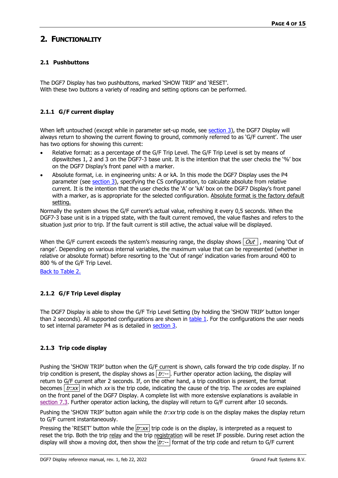# <span id="page-3-0"></span>**2. FUNCTIONALITY**

#### <span id="page-3-1"></span>**2.1 Pushbuttons**

The DGF7 Display has two pushbuttons, marked 'SHOW TRIP' and 'RESET'. With these two buttons a variety of reading and setting options can be performed.

#### <span id="page-3-2"></span>**2.1.1 G/F current display**

When left untouched (except while in parameter set-up mode, see [section](#page-6-0) 3), the DGF7 Display will always return to showing the current flowing to ground, commonly referred to as 'G/F current'. The user has two options for showing this current:

- Relative format: as a percentage of the G/F Trip Level. The G/F Trip Level is set by means of dipswitches 1, 2 and 3 on the DGF7-3 base unit. It is the intention that the user checks the '%' box on the DGF7 Display's front panel with a marker.
- Absolute format, i.e. in engineering units: A or kA. In this mode the DGF7 Display uses the P4 parameter (see [section](#page-6-0) 3), specifying the CS configuration, to calculate absolute from relative current. It is the intention that the user checks the 'A' or 'kA' box on the DGF7 Display's front panel with a marker, as is appropriate for the selected configuration. Absolute format is the factory default setting.

Normally the system shows the G/F current's actual value, refreshing it every 0,5 seconds. When the DGF7-3 base unit is in a tripped state, with the fault current removed, the value flashes and refers to the situation just prior to trip. If the fault current is still active, the actual value will be displayed.

When the G/F current exceeds the system's measuring range, the display shows  $\partial u t$ , meaning 'Out of range'. Depending on various internal variables, the maximum value that can be represented (whether in relative or absolute format) before resorting to the 'Out of range' indication varies from around 400 to 800 % of the G/F Trip Level.

Back to [Table](#page-11-0) 2.

### <span id="page-3-3"></span>**2.1.2 G/F Trip Level display**

The DGF7 Display is able to show the G/F Trip Level Setting (by holding the 'SHOW TRIP' button longer than 2 seconds). All supported configurations are shown in [table 1.](#page-10-1) For the configurations the user needs to set internal parameter P4 as is detailed in [section 3.](#page-6-0)

#### <span id="page-3-4"></span>**2.1.3 Trip code display**

Pushing the 'SHOW TRIP' button when the G/F current is shown, calls forward the trip code display. If no trip condition is present, the display shows as  $\overline{tr:-}$ . Further operator action lacking, the display will return to G/F current after 2 seconds. If, on the other hand, a trip condition is present, the format becomes  $\frac{tr:xx}{\ln x}$  in which xx is the trip code, indicating the cause of the trip. The xx codes are explained on the front panel of the DGF7 Display. A complete list with more extensive explanations is available in [section](#page-12-0) 7.3. Further operator action lacking, the display will return to G/F current after 10 seconds.

Pushing the 'SHOW TRIP' button again while the  $tr:xx$  trip code is on the display makes the display return to G/F current instantaneously.

Pressing the 'RESET' button while the  $\frac{tr:xx}{\ln x}$  trip code is on the display, is interpreted as a request to reset the trip. Both the trip relay and the trip registration will be reset IF possible. During reset action the display will show a moving dot, then show the  $tr:$ -- format of the trip code and return to G/F current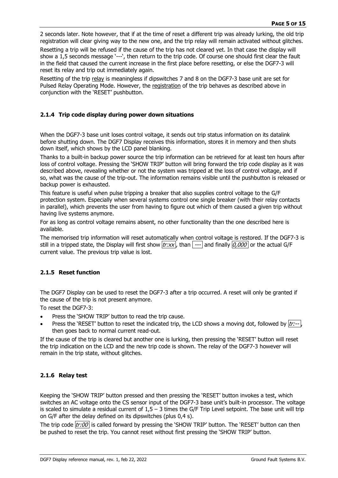2 seconds later. Note however, that if at the time of reset a different trip was already lurking, the old trip registration will clear giving way to the new one, and the trip relay will remain activated without glitches.

Resetting a trip will be refused if the cause of the trip has not cleared yet. In that case the display will show a 1,5 seconds message '---', then return to the trip code. Of course one should first clear the fault in the field that caused the current increase in the first place before resetting, or else the DGF7-3 will reset its relay and trip out immediately again.

Resetting of the trip relay is meaningless if dipswitches 7 and 8 on the DGF7-3 base unit are set for Pulsed Relay Operating Mode. However, the registration of the trip behaves as described above in conjunction with the 'RESET' pushbutton.

#### <span id="page-4-0"></span>**2.1.4 Trip code display during power down situations**

When the DGF7-3 base unit loses control voltage, it sends out trip status information on its datalink before shutting down. The DGF7 Display receives this information, stores it in memory and then shuts down itself, which shows by the LCD panel blanking.

Thanks to a built-in backup power source the trip information can be retrieved for at least ten hours after loss of control voltage. Pressing the 'SHOW TRIP' button will bring forward the trip code display as it was described above, revealing whether or not the system was tripped at the loss of control voltage, and if so, what was the cause of the trip-out. The information remains visible until the pushbutton is released or backup power is exhausted.

This feature is useful when pulse tripping a breaker that also supplies control voltage to the G/F protection system. Especially when several systems control one single breaker (with their relay contacts in parallel), which prevents the user from having to figure out which of them caused a given trip without having live systems anymore.

For as long as control voltage remains absent, no other functionality than the one described here is available.

The memorised trip information will reset automatically when control voltage is restored. If the DGF7-3 is still in a tripped state, the Display will first show  $|tr:xx|$ , than  $|-$ - and finally  $|0,000|$  or the actual G/F current value. The previous trip value is lost.

#### <span id="page-4-1"></span>**2.1.5 Reset function**

The DGF7 Display can be used to reset the DGF7-3 after a trip occurred. A reset will only be granted if the cause of the trip is not present anymore.

To reset the DGF7-3:

- Press the 'SHOW TRIP' button to read the trip cause.
- Press the 'RESET' button to reset the indicated trip, the LCD shows a moving dot, followed by  $|tr:-|$ , then goes back to normal current read-out.

If the cause of the trip is cleared but another one is lurking, then pressing the 'RESET' button will reset the trip indication on the LCD and the new trip code is shown. The relay of the DGF7-3 however will remain in the trip state, without glitches.

#### <span id="page-4-2"></span>**2.1.6 Relay test**

Keeping the 'SHOW TRIP' button pressed and then pressing the 'RESET' button invokes a test, which switches an AC voltage onto the CS sensor input of the DGF7-3 base unit's built-in processor. The voltage is scaled to simulate a residual current of 1,5 – 3 times the G/F Trip Level setpoint. The base unit will trip on G/F after the delay defined on its dipswitches (plus 0,4 s).

The trip code  $|tr:00|$  is called forward by pressing the 'SHOW TRIP' button. The 'RESET' button can then be pushed to reset the trip. You cannot reset without first pressing the 'SHOW TRIP' button.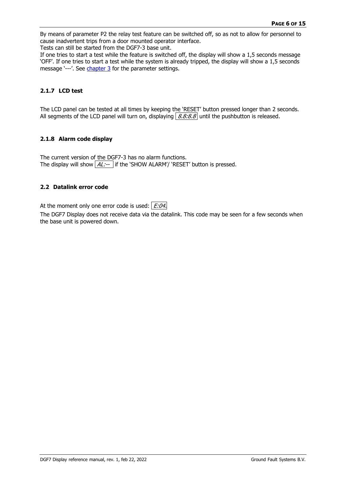By means of parameter P2 the relay test feature can be switched off, so as not to allow for personnel to cause inadvertent trips from a door mounted operator interface.

Tests can still be started from the DGF7-3 base unit.

If one tries to start a test while the feature is switched off, the display will show a 1,5 seconds message 'OFF'. If one tries to start a test while the system is already tripped, the display will show a 1,5 seconds message '---'. See [chapter 3](#page-6-0) for the parameter settings.

#### <span id="page-5-0"></span>**2.1.7 LCD test**

The LCD panel can be tested at all times by keeping the 'RESET' button pressed longer than 2 seconds. All segments of the LCD panel will turn on, displaying  $8.8.8.8$  until the pushbutton is released.

#### <span id="page-5-1"></span>**2.1.8 Alarm code display**

The current version of the DGF7-3 has no alarm functions. The display will show  $AL:-$  if the 'SHOW ALARM'/ 'RESET' button is pressed.

#### <span id="page-5-2"></span>**2.2 Datalink error code**

At the moment only one error code is used:  $E:04$ .

The DGF7 Display does not receive data via the datalink. This code may be seen for a few seconds when the base unit is powered down.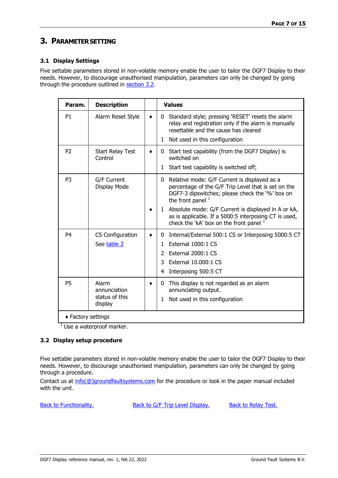## <span id="page-6-0"></span>**3. PARAMETERSETTING**

#### <span id="page-6-1"></span>**3.1 Display Settings**

Five settable parameters stored in non-volatile memory enable the user to tailor the DGF7 Display to their needs. However, to discourage unauthorised manipulation, parameters can only be changed by going through the procedure outlined in [section 3.2.](#page-6-2)

| Param.             | <b>Description</b>                                 | <b>Values</b>                                                                                                                                                                         |
|--------------------|----------------------------------------------------|---------------------------------------------------------------------------------------------------------------------------------------------------------------------------------------|
| P <sub>1</sub>     | Alarm Reset Style                                  | Standard style; pressing 'RESET' resets the alarm<br>0<br>relay and registration only if the alarm is manually<br>resettable and the cause has cleared                                |
|                    |                                                    | Not used in this configuration<br>1                                                                                                                                                   |
| P <sub>2</sub>     | Start Relay Test<br>Control                        | Start test capability (from the DGF7 Display) is<br>0<br>switched on                                                                                                                  |
|                    |                                                    | Start test capability is switched off;<br>1                                                                                                                                           |
| P <sub>3</sub>     | G/F Current<br>Display Mode                        | Relative mode: G/F Current is displayed as a<br>0<br>percentage of the G/F Trip Level that is set on the<br>DGF7-3 dipswitches; please check the '%' box on<br>the front panel $1$    |
|                    |                                                    | 1 Absolute mode: G/F Current is displayed in A or kA,<br>as is applicable. If a 5000:5 interposing CT is used,<br>check the 'kA' box on the front panel $1$                           |
| P4                 | CS Configuration<br>See table 2                    | Internal/External 500:1 CS or Interposing 5000:5 CT<br>0<br>External 1000:1 CS<br>1.<br>External 2000:1 CS<br>$\mathcal{P}$<br>External 10.000:1 CS<br>3<br>Interposing 500:5 CT<br>4 |
| <b>P5</b>          | Alarm<br>annunciation<br>status of this<br>display | This display is not regarded as an alarm<br>0<br>annunciating output.<br>Not used in this configuration<br>1                                                                          |
| ◆ Factory settings |                                                    |                                                                                                                                                                                       |

 $<sup>1</sup>$  Use a waterproof marker.</sup>

#### <span id="page-6-2"></span>**3.2 Display setup procedure**

Five settable parameters stored in non-volatile memory enable the user to tailor the DGF7 Display to their needs. However, to discourage unauthorised manipulation, parameters can only be changed by going through a procedure.

Contact us at [info\(@\)groundfaultsystems.com](mailto:info@groundfaultsystems.com) for the procedure or look in the paper manual included with the unit.

Back to [Functionality.](#page-3-0) [Back to G/F Trip Level Display.](#page-3-3) [Back to Relay Test.](#page-4-2)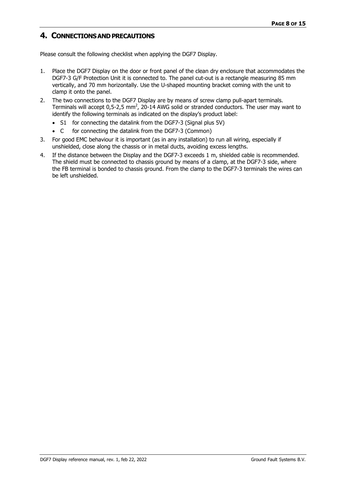## <span id="page-7-0"></span>**4. CONNECTIONS AND PRECAUTIONS**

Please consult the following checklist when applying the DGF7 Display.

- 1. Place the DGF7 Display on the door or front panel of the clean dry enclosure that accommodates the DGF7-3 G/F Protection Unit it is connected to. The panel cut-out is a rectangle measuring 85 mm vertically, and 70 mm horizontally. Use the U-shaped mounting bracket coming with the unit to clamp it onto the panel.
- 2. The two connections to the DGF7 Display are by means of screw clamp pull-apart terminals. Terminals will accept 0,5-2,5 mm<sup>2</sup>, 20-14 AWG solid or stranded conductors. The user may want to identify the following terminals as indicated on the display's product label:
	- S1 for connecting the datalink from the DGF7-3 (Signal plus 5V)
	- C for connecting the datalink from the DGF7-3 (Common)
- 3. For good EMC behaviour it is important (as in any installation) to run all wiring, especially if unshielded, close along the chassis or in metal ducts, avoiding excess lengths.
- 4. If the distance between the Display and the DGF7-3 exceeds 1 m, shielded cable is recommended. The shield must be connected to chassis ground by means of a clamp, at the DGF7-3 side, where the FB terminal is bonded to chassis ground. From the clamp to the DGF7-3 terminals the wires can be left unshielded.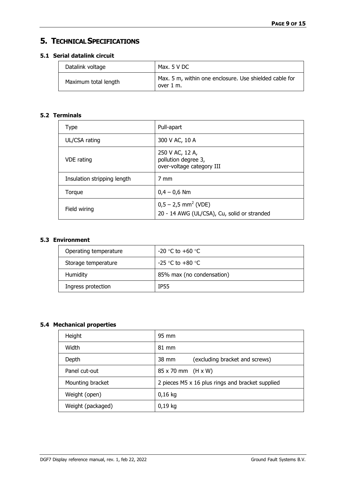# <span id="page-8-0"></span>**5. TECHNICALSPECIFICATIONS**

## <span id="page-8-1"></span>**5.1 Serial datalink circuit**

| Datalink voltage     | Max. $5 \vee DC$                                                    |
|----------------------|---------------------------------------------------------------------|
| Maximum total length | Max. 5 m, within one enclosure. Use shielded cable for<br>over 1 m. |

## <span id="page-8-2"></span>**5.2 Terminals**

| Type                        | Pull-apart                                                                       |
|-----------------------------|----------------------------------------------------------------------------------|
| UL/CSA rating               | 300 V AC, 10 A                                                                   |
| VDE rating                  | 250 V AC, 12 A,<br>pollution degree 3,<br>over-voltage category III              |
| Insulation stripping length | 7 mm                                                                             |
| Torque                      | $0.4 - 0.6$ Nm                                                                   |
| Field wiring                | $0,5 - 2,5$ mm <sup>2</sup> (VDE)<br>20 - 14 AWG (UL/CSA), Cu, solid or stranded |

## <span id="page-8-3"></span>**5.3 Environment**

| Operating temperature | -20 °C to +60 °C          |
|-----------------------|---------------------------|
| Storage temperature   | -25 °C to +80 °C          |
| Humidity              | 85% max (no condensation) |
| Ingress protection    | <b>TP55</b>               |

## <span id="page-8-4"></span>**5.4 Mechanical properties**

| Height            | 95 mm                                             |
|-------------------|---------------------------------------------------|
| Width             | $81 \text{ mm}$                                   |
| Depth             | (excluding bracket and screws)<br>$38 \text{ mm}$ |
| Panel cut-out     | 85 x 70 mm (H x W)                                |
| Mounting bracket  | 2 pieces M5 x 16 plus rings and bracket supplied  |
| Weight (open)     | $0,16$ kg                                         |
| Weight (packaged) | $0,19$ kg                                         |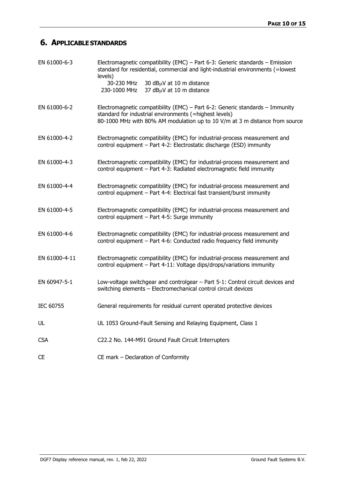# <span id="page-9-0"></span>**6. APPLICABLESTANDARDS**

| EN 61000-6-3  | Electromagnetic compatibility (EMC) - Part 6-3: Generic standards - Emission<br>standard for residential, commercial and light-industrial environments (=lowest<br>levels)<br>30-230 MHz<br>30 $dB\mu$ V at 10 m distance<br>37 dBµV at 10 m distance<br>230-1000 MHz |
|---------------|-----------------------------------------------------------------------------------------------------------------------------------------------------------------------------------------------------------------------------------------------------------------------|
| EN 61000-6-2  | Electromagnetic compatibility (EMC) – Part 6-2: Generic standards – Immunity<br>standard for industrial environments (=highest levels)<br>80-1000 MHz with 80% AM modulation up to 10 V/m at 3 m distance from source                                                 |
| EN 61000-4-2  | Electromagnetic compatibility (EMC) for industrial-process measurement and<br>control equipment - Part 4-2: Electrostatic discharge (ESD) immunity                                                                                                                    |
| EN 61000-4-3  | Electromagnetic compatibility (EMC) for industrial-process measurement and<br>control equipment - Part 4-3: Radiated electromagnetic field immunity                                                                                                                   |
| EN 61000-4-4  | Electromagnetic compatibility (EMC) for industrial-process measurement and<br>control equipment - Part 4-4: Electrical fast transient/burst immunity                                                                                                                  |
| EN 61000-4-5  | Electromagnetic compatibility (EMC) for industrial-process measurement and<br>control equipment - Part 4-5: Surge immunity                                                                                                                                            |
| EN 61000-4-6  | Electromagnetic compatibility (EMC) for industrial-process measurement and<br>control equipment - Part 4-6: Conducted radio frequency field immunity                                                                                                                  |
| EN 61000-4-11 | Electromagnetic compatibility (EMC) for industrial-process measurement and<br>control equipment - Part 4-11: Voltage dips/drops/variations immunity                                                                                                                   |
| EN 60947-5-1  | Low-voltage switchgear and controlgear - Part 5-1: Control circuit devices and<br>switching elements - Electromechanical control circuit devices                                                                                                                      |
| IEC 60755     | General requirements for residual current operated protective devices                                                                                                                                                                                                 |
| UL            | UL 1053 Ground-Fault Sensing and Relaying Equipment, Class 1                                                                                                                                                                                                          |
| <b>CSA</b>    | C22.2 No. 144-M91 Ground Fault Circuit Interrupters                                                                                                                                                                                                                   |
| <b>CE</b>     | CE mark - Declaration of Conformity                                                                                                                                                                                                                                   |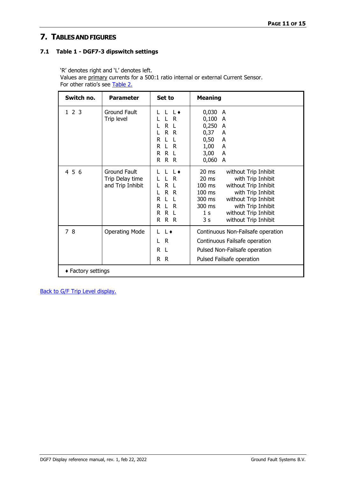# <span id="page-10-0"></span>**7. TABLESANDFIGURES**

#### <span id="page-10-1"></span>**7.1 Table 1 - DGF7-3 dipswitch settings**

'R' denotes right and 'L' denotes left.

Values are primary currents for a 500:1 ratio internal or external Current Sensor. For other ratio's see [Table](#page-11-0) 2.

| Switch no.         | <b>Parameter</b>                                           | Set to                                                                                                                                    | <b>Meaning</b>                                                                                                                                                                                                                                                                                                  |
|--------------------|------------------------------------------------------------|-------------------------------------------------------------------------------------------------------------------------------------------|-----------------------------------------------------------------------------------------------------------------------------------------------------------------------------------------------------------------------------------------------------------------------------------------------------------------|
| 1 2 3              | Ground Fault<br>Trip level                                 | $\overline{1}$ $\overline{1}$ $\overline{6}$<br>L R<br>R L<br>L<br>R R<br>L<br>L.<br>R<br>$\mathsf{L}$<br>L R<br>R.<br>R R L<br>R R<br>R. | 0,030 A<br>0,100<br>A<br>0,250<br>A<br>0,37<br>A<br>0,50<br>A<br>1,00<br>A<br>3,00<br>A<br>0,060<br>A                                                                                                                                                                                                           |
| 4 5 6              | <b>Ground Fault</b><br>Trip Delay time<br>and Trip Inhibit | $\mathbf{1}$<br>L R<br>R L<br>R R<br>L<br>L L<br>R<br>L R<br>R.<br>R L<br>R.<br>R R<br>R.                                                 | $20 \text{ ms}$<br>without Trip Inhibit<br>$20 \text{ ms}$<br>with Trip Inhibit<br>without Trip Inhibit<br>$100 \text{ ms}$<br>100 ms<br>with Trip Inhibit<br>300 ms<br>without Trip Inhibit<br>with Trip Inhibit<br>300 ms<br>without Trip Inhibit<br>1 <sub>s</sub><br>3 <sub>s</sub><br>without Trip Inhibit |
| 78                 | <b>Operating Mode</b>                                      | L L<br>L R<br>R.<br>-L<br>$\mathsf{R}$<br>R.                                                                                              | Continuous Non-Failsafe operation<br>Continuous Failsafe operation<br>Pulsed Non-Failsafe operation<br>Pulsed Failsafe operation                                                                                                                                                                                |
| ◆ Factory settings |                                                            |                                                                                                                                           |                                                                                                                                                                                                                                                                                                                 |

[Back to G/F Trip Level display.](#page-3-3)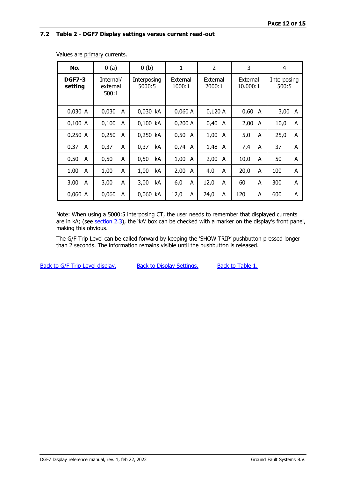#### <span id="page-11-0"></span>**7.2 Table 2 - DGF7 Display settings versus current read-out**

| No.                                                        | 0(a)       | 0(b)                  | 1                  | $\overline{2}$     | 3                    | 4                    |
|------------------------------------------------------------|------------|-----------------------|--------------------|--------------------|----------------------|----------------------|
| <b>DGF7-3</b><br>Internal/<br>setting<br>external<br>500:1 |            | Interposing<br>5000:5 | External<br>1000:1 | External<br>2000:1 | External<br>10.000:1 | Interposing<br>500:5 |
|                                                            |            |                       |                    |                    |                      |                      |
| 0,030 A                                                    | 0,030<br>A | 0,030 kA              | 0,060A             | 0,120A             | 0,60<br>A            | 3,00<br>A            |
| 0,100 A                                                    | 0,100<br>A | 0,100 kA              | 0,200A             | 0,40<br>A          | 2,00<br>A            | 10,0<br>A            |
| 0,250 A                                                    | 0,250<br>A | 0,250 kA              | 0,50<br>A          | 1,00<br>A          | 5,0<br>A             | 25,0<br>A            |
| 0,37<br>A                                                  | 0,37<br>A  | 0,37<br>kA            | 0,74<br>A          | 1,48 A             | 7,4<br>A             | 37<br>A              |
| 0,50<br>A                                                  | 0,50<br>A  | 0,50<br>kA            | 1,00<br>A          | 2,00<br>A          | 10,0<br>A            | 50<br>A              |
| 1,00<br>A                                                  | 1,00<br>A  | 1,00<br>kA            | 2,00<br>A          | 4,0<br>A           | 20,0<br>A            | 100<br>A             |
| 3,00<br>A                                                  | 3,00<br>A  | 3,00<br>kA            | 6,0<br>A           | 12,0<br>A          | 60<br>A              | 300<br>A             |
| 0,060 A                                                    | 0,060<br>A | 0,060 kA              | 12,0<br>A          | 24,0<br>A          | 120<br>A             | 600<br>A             |

Values are primary currents.

Note: When using a 5000:5 interposing CT, the user needs to remember that displayed currents are in kA; (see [section](#page-3-2) 2.3), the 'kA' box can be checked with a marker on the display's front panel, making this obvious.

The G/F Trip Level can be called forward by keeping the 'SHOW TRIP' pushbutton pressed longer than 2 seconds. The information remains visible until the pushbutton is released.

Back to G/F Trip Level [display.](#page-3-2) [Back to Display Settings.](#page-6-1) [Back to Table 1.](#page-10-1)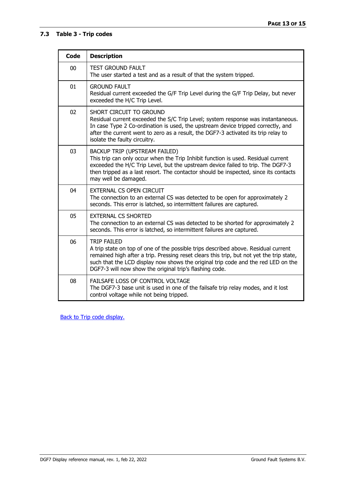#### <span id="page-12-0"></span>**7.3 Table 3 - Trip codes**

| <b>Code</b>     | <b>Description</b>                                                                                                                                                                                                                                                                                                                                   |
|-----------------|------------------------------------------------------------------------------------------------------------------------------------------------------------------------------------------------------------------------------------------------------------------------------------------------------------------------------------------------------|
| 00              | <b>TEST GROUND FAULT</b><br>The user started a test and as a result of that the system tripped.                                                                                                                                                                                                                                                      |
| 01              | <b>GROUND FAULT</b><br>Residual current exceeded the G/F Trip Level during the G/F Trip Delay, but never<br>exceeded the H/C Trip Level.                                                                                                                                                                                                             |
| 02 <sub>2</sub> | SHORT CIRCUIT TO GROUND<br>Residual current exceeded the S/C Trip Level; system response was instantaneous.<br>In case Type 2 Co-ordination is used, the upstream device tripped correctly, and<br>after the current went to zero as a result, the DGF7-3 activated its trip relay to<br>isolate the faulty circuitry.                               |
| 03              | BACKUP TRIP (UPSTREAM FAILED)<br>This trip can only occur when the Trip Inhibit function is used. Residual current<br>exceeded the H/C Trip Level, but the upstream device failed to trip. The DGF7-3<br>then tripped as a last resort. The contactor should be inspected, since its contacts<br>may well be damaged.                                |
| 04              | <b>EXTERNAL CS OPEN CIRCUIT</b><br>The connection to an external CS was detected to be open for approximately 2<br>seconds. This error is latched, so intermittent failures are captured.                                                                                                                                                            |
| 05              | <b>EXTERNAL CS SHORTED</b><br>The connection to an external CS was detected to be shorted for approximately 2<br>seconds. This error is latched, so intermittent failures are captured.                                                                                                                                                              |
| 06              | <b>TRIP FAILED</b><br>A trip state on top of one of the possible trips described above. Residual current<br>remained high after a trip. Pressing reset clears this trip, but not yet the trip state,<br>such that the LCD display now shows the original trip code and the red LED on the<br>DGF7-3 will now show the original trip's flashing code. |
| 08              | FAILSAFE LOSS OF CONTROL VOLTAGE<br>The DGF7-3 base unit is used in one of the failsafe trip relay modes, and it lost<br>control voltage while not being tripped.                                                                                                                                                                                    |

**Back to Trip code [display.](#page-3-4)**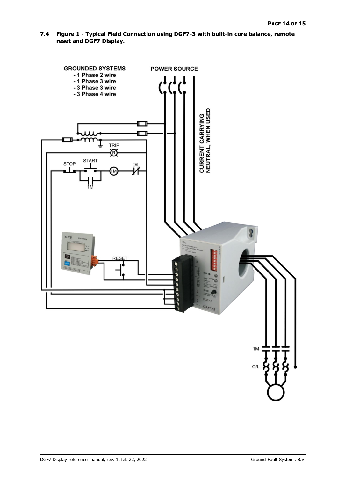<span id="page-13-0"></span>